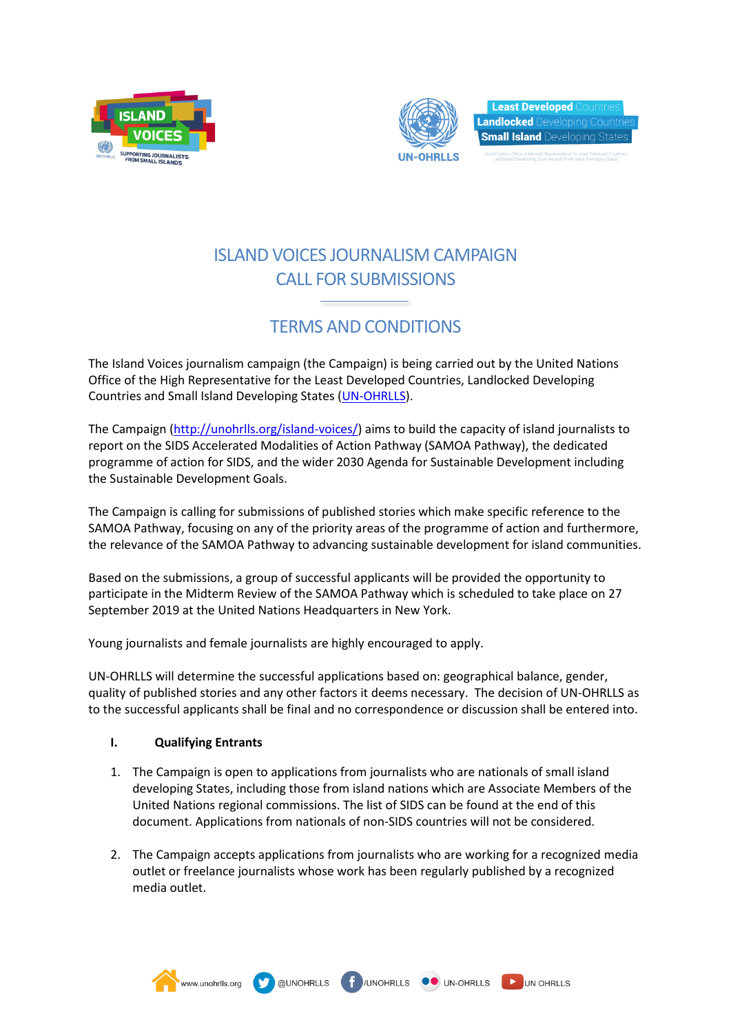



**Least Developed Landlocked** Developing C **Small Island Developing** 

## ISLAND VOICES JOURNALISM CAMPAIGN CALL FOR SUBMISSIONS

# TERMS AND CONDITIONS

The Island Voices journalism campaign (the Campaign) is being carried out by the United Nations Office of the High Representative for the Least Developed Countries, Landlocked Developing Countries and Small Island Developing States [\(UN-OHRLLS\)](http://unohrlls.org/).

The Campaign [\(http://unohrlls.org/island-voices/\)](http://unohrlls.org/island-voices/) aims to build the capacity of island journalists to report on the SIDS Accelerated Modalities of Action Pathway (SAMOA Pathway), the dedicated programme of action for SIDS, and the wider 2030 Agenda for Sustainable Development including the Sustainable Development Goals.

The Campaign is calling for submissions of published stories which make specific reference to the SAMOA Pathway, focusing on any of the priority areas of the programme of action and furthermore, the relevance of the SAMOA Pathway to advancing sustainable development for island communities.

Based on the submissions, a group of successful applicants will be provided the opportunity to participate in the Midterm Review of the SAMOA Pathway which is scheduled to take place on 27 September 2019 at the United Nations Headquarters in New York.

Young journalists and female journalists are highly encouraged to apply.

**OUNOHRLLS** 

UN-OHRLLS will determine the successful applications based on: geographical balance, gender, quality of published stories and any other factors it deems necessary. The decision of UN-OHRLLS as to the successful applicants shall be final and no correspondence or discussion shall be entered into.

### **I. Qualifying Entrants**

www.unohrlls.org

- 1. The Campaign is open to applications from journalists who are nationals of small island developing States, including those from island nations which are Associate Members of the United Nations regional commissions. The list of SIDS can be found at the end of this document. Applications from nationals of non-SIDS countries will not be considered.
- 2. The Campaign accepts applications from journalists who are working for a recognized media outlet or freelance journalists whose work has been regularly published by a recognized media outlet.

UNOHRLLS **OO** UN-OHRLLS **DO** UN OHRLLS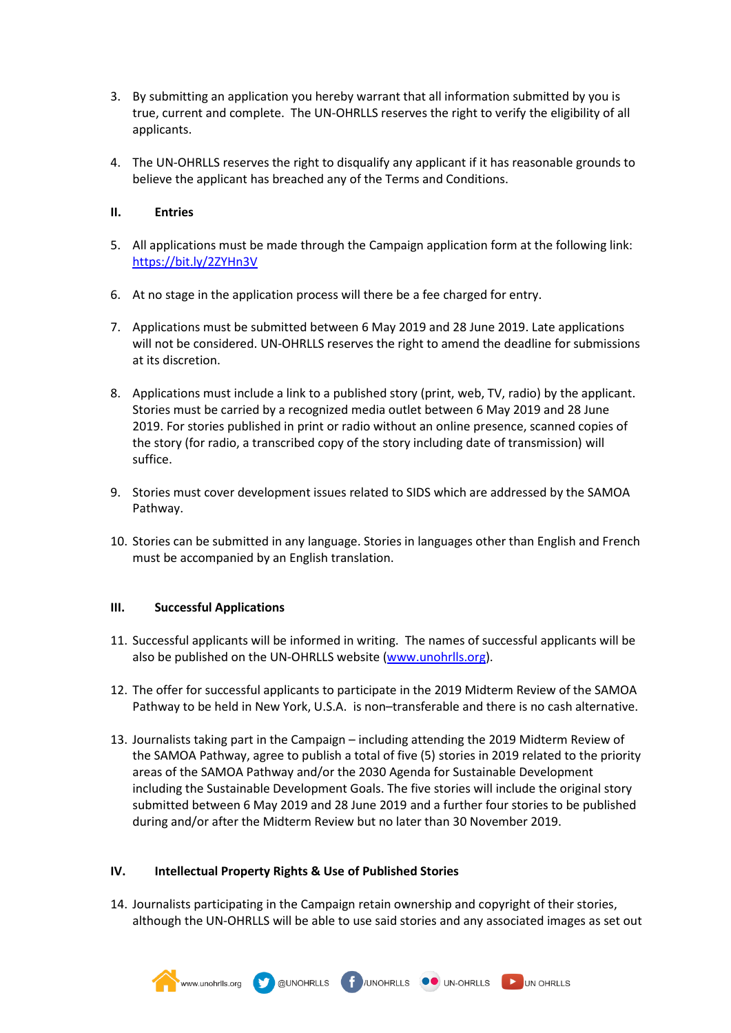- 3. By submitting an application you hereby warrant that all information submitted by you is true, current and complete. The UN-OHRLLS reserves the right to verify the eligibility of all applicants.
- 4. The UN-OHRLLS reserves the right to disqualify any applicant if it has reasonable grounds to believe the applicant has breached any of the Terms and Conditions.

### **II. Entries**

- 5. All applications must be made through the Campaign application form at the following link: <https://bit.ly/2ZYHn3V>
- 6. At no stage in the application process will there be a fee charged for entry.
- 7. Applications must be submitted between 6 May 2019 and 28 June 2019. Late applications will not be considered. UN-OHRLLS reserves the right to amend the deadline for submissions at its discretion.
- 8. Applications must include a link to a published story (print, web, TV, radio) by the applicant. Stories must be carried by a recognized media outlet between 6 May 2019 and 28 June 2019. For stories published in print or radio without an online presence, scanned copies of the story (for radio, a transcribed copy of the story including date of transmission) will suffice.
- 9. Stories must cover development issues related to SIDS which are addressed by the SAMOA Pathway.
- 10. Stories can be submitted in any language. Stories in languages other than English and French must be accompanied by an English translation.

#### **III. Successful Applications**

- 11. Successful applicants will be informed in writing. The names of successful applicants will be also be published on the UN-OHRLLS website [\(www.unohrlls.org\)](http://www.unohrlls.org/).
- 12. The offer for successful applicants to participate in the 2019 Midterm Review of the SAMOA Pathway to be held in New York, U.S.A. is non–transferable and there is no cash alternative.
- 13. Journalists taking part in the Campaign including attending the 2019 Midterm Review of the SAMOA Pathway, agree to publish a total of five (5) stories in 2019 related to the priority areas of the SAMOA Pathway and/or the 2030 Agenda for Sustainable Development including the Sustainable Development Goals. The five stories will include the original story submitted between 6 May 2019 and 28 June 2019 and a further four stories to be published during and/or after the Midterm Review but no later than 30 November 2019.

#### **IV. Intellectual Property Rights & Use of Published Stories**

14. Journalists participating in the Campaign retain ownership and copyright of their stories, although the UN-OHRLLS will be able to use said stories and any associated images as set out

WWW.unohrlis.org **W** @UNOHRLLS **f** /UNOHRLLS **OO** UN-OHRLLS DUN OHRLLS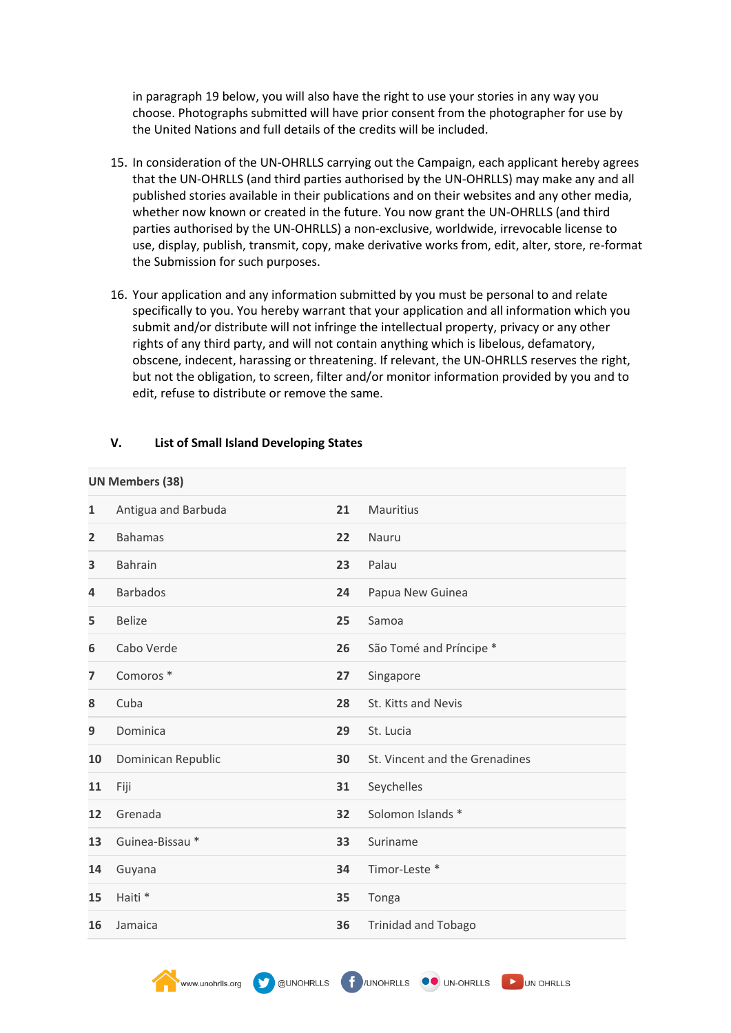in paragraph 19 below, you will also have the right to use your stories in any way you choose. Photographs submitted will have prior consent from the photographer for use by the United Nations and full details of the credits will be included.

- 15. In consideration of the UN-OHRLLS carrying out the Campaign, each applicant hereby agrees that the UN-OHRLLS (and third parties authorised by the UN-OHRLLS) may make any and all published stories available in their publications and on their websites and any other media, whether now known or created in the future. You now grant the UN-OHRLLS (and third parties authorised by the UN-OHRLLS) a non-exclusive, worldwide, irrevocable license to use, display, publish, transmit, copy, make derivative works from, edit, alter, store, re-format the Submission for such purposes.
- 16. Your application and any information submitted by you must be personal to and relate specifically to you. You hereby warrant that your application and all information which you submit and/or distribute will not infringe the intellectual property, privacy or any other rights of any third party, and will not contain anything which is libelous, defamatory, obscene, indecent, harassing or threatening. If relevant, the UN-OHRLLS reserves the right, but not the obligation, to screen, filter and/or monitor information provided by you and to edit, refuse to distribute or remove the same.

| <b>UN Members (38)</b> |                            |    |                                |  |  |
|------------------------|----------------------------|----|--------------------------------|--|--|
| 1                      | Antigua and Barbuda        | 21 | Mauritius                      |  |  |
| $\overline{2}$         | <b>Bahamas</b>             | 22 | Nauru                          |  |  |
| 3                      | <b>Bahrain</b>             | 23 | Palau                          |  |  |
| 4                      | <b>Barbados</b>            | 24 | Papua New Guinea               |  |  |
| 5                      | <b>Belize</b>              | 25 | Samoa                          |  |  |
| 6                      | Cabo Verde                 | 26 | São Tomé and Príncipe *        |  |  |
| $\overline{ }$         | Comoros <sup>*</sup>       | 27 | Singapore                      |  |  |
| 8                      | Cuba                       | 28 | St. Kitts and Nevis            |  |  |
| 9                      | Dominica                   | 29 | St. Lucia                      |  |  |
| 10                     | Dominican Republic         | 30 | St. Vincent and the Grenadines |  |  |
| 11                     | Fiji                       | 31 | Seychelles                     |  |  |
| 12                     | Grenada                    | 32 | Solomon Islands *              |  |  |
| 13                     | Guinea-Bissau <sup>*</sup> | 33 | Suriname                       |  |  |
| 14                     | Guyana                     | 34 | Timor-Leste *                  |  |  |
| 15                     | Haiti <sup>*</sup>         | 35 | Tonga                          |  |  |
| 16                     | Jamaica                    | 36 | <b>Trinidad and Tobago</b>     |  |  |

WWW.unohrlis.org **CO** @UNOHRLLS **CO** UN-OHRLLS UN OHRLLS

#### **V. List of Small Island Developing States**